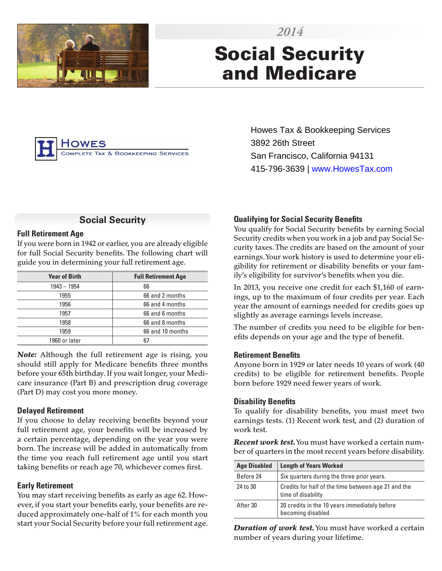

# Social Security and Medicare



Howes Tax & Bookkeeping Services 3892 26th Street San Francisco, California 94131 415-796-3639 | www.HowesTax.com

# **Social Security**

#### **Full Retirement Age**

If you were born in 1942 or earlier, you are already eligible for full Social Security benefits. The following chart will guide you in determining your full retirement age.

| <b>Year of Birth</b> | <b>Full Retirement Age</b> |
|----------------------|----------------------------|
| $1943 - 1954$        | 66                         |
| 1955                 | 66 and 2 months            |
| 1956                 | 66 and 4 months            |
| 1957                 | 66 and 6 months            |
| 1958                 | 66 and 8 months            |
| 1959                 | 66 and 10 months           |
| 1960 or later        | 67                         |

*Note:* Although the full retirement age is rising, you should still apply for Medicare benefits three months before your 65th birthday. If you wait longer, your Medicare insurance (Part B) and prescription drug coverage (Part D) may cost you more money.

## **Delayed Retirement**

If you choose to delay receiving benefits beyond your full retirement age, your benefits will be increased by a certain percentage, depending on the year you were born. The increase will be added in automatically from the time you reach full retirement age until you start taking benefits or reach age 70, whichever comes first.

## **Early Retirement**

You may start receiving benefits as early as age 62. However, if you start your benefits early, your benefits are reduced approximately one-half of 1% for each month you start your Social Security before your full retirement age.

# **Qualifying for Social Security Benefits**

You qualify for Social Security benefits by earning Social Security credits when you work in a job and pay Social Security taxes. The credits are based on the amount of your earnings. Your work history is used to determine your eligibility for retirement or disability benefits or your family's eligibility for survivor's benefits when you die.

In 2013, you receive one credit for each \$1,160 of earnings, up to the maximum of four credits per year. Each year the amount of earnings needed for credits goes up slightly as average earnings levels increase.

The number of credits you need to be eligible for benefits depends on your age and the type of benefit.

#### **Retirement Benefits**

Anyone born in 1929 or later needs 10 years of work (40 credits) to be eligible for retirement benefits. People born before 1929 need fewer years of work.

## **Disability Benefits**

To qualify for disability benefits, you must meet two earnings tests. (1) Recent work test, and (2) duration of work test.

*Recent work test.* You must have worked a certain number of quarters in the most recent years before disability.

| <b>Age Disabled</b> | <b>Length of Years Worked</b>                                             |
|---------------------|---------------------------------------------------------------------------|
| Before 24           | Six quarters during the three prior years.                                |
| 24 to 30            | Credits for half of the time between age 21 and the<br>time of disability |
| After 30            | 20 credits in the 10 years immediately before<br>becoming disabled        |

*Duration of work test.* You must have worked a certain number of years during your lifetime.